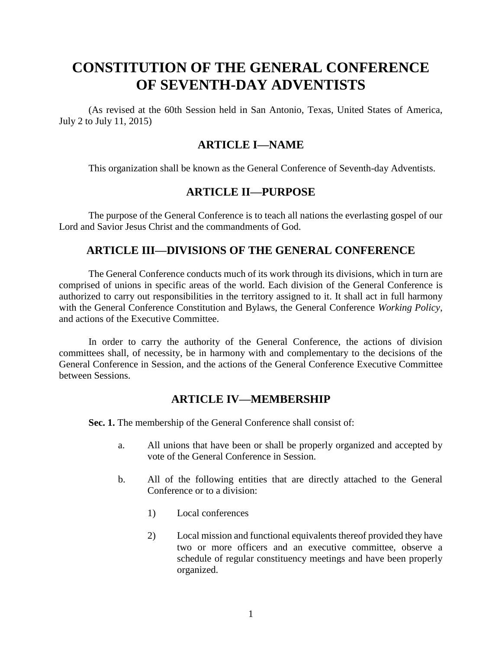# **CONSTITUTION OF THE GENERAL CONFERENCE OF SEVENTH-DAY ADVENTISTS**

(As revised at the 60th Session held in San Antonio, Texas, United States of America, July 2 to July 11, 2015)

## **ARTICLE I—NAME**

This organization shall be known as the General Conference of Seventh-day Adventists.

## **ARTICLE II—PURPOSE**

The purpose of the General Conference is to teach all nations the everlasting gospel of our Lord and Savior Jesus Christ and the commandments of God.

## **ARTICLE III—DIVISIONS OF THE GENERAL CONFERENCE**

The General Conference conducts much of its work through its divisions, which in turn are comprised of unions in specific areas of the world. Each division of the General Conference is authorized to carry out responsibilities in the territory assigned to it. It shall act in full harmony with the General Conference Constitution and Bylaws, the General Conference *Working Policy*, and actions of the Executive Committee.

In order to carry the authority of the General Conference, the actions of division committees shall, of necessity, be in harmony with and complementary to the decisions of the General Conference in Session, and the actions of the General Conference Executive Committee between Sessions.

#### **ARTICLE IV—MEMBERSHIP**

**Sec. 1.** The membership of the General Conference shall consist of:

- a. All unions that have been or shall be properly organized and accepted by vote of the General Conference in Session.
- b. All of the following entities that are directly attached to the General Conference or to a division:
	- 1) Local conferences
	- 2) Local mission and functional equivalents thereof provided they have two or more officers and an executive committee, observe a schedule of regular constituency meetings and have been properly organized.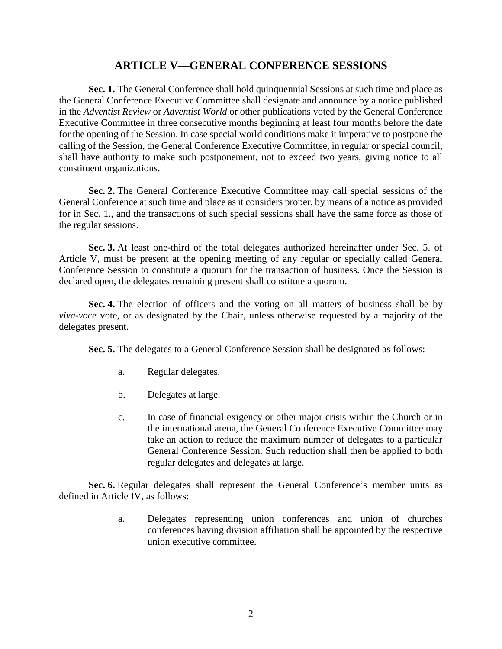## **ARTICLE V—GENERAL CONFERENCE SESSIONS**

**Sec. 1.** The General Conference shall hold quinquennial Sessions at such time and place as the General Conference Executive Committee shall designate and announce by a notice published in the *Adventist Review* or *Adventist World* or other publications voted by the General Conference Executive Committee in three consecutive months beginning at least four months before the date for the opening of the Session. In case special world conditions make it imperative to postpone the calling of the Session, the General Conference Executive Committee, in regular or special council, shall have authority to make such postponement, not to exceed two years, giving notice to all constituent organizations.

**Sec. 2.** The General Conference Executive Committee may call special sessions of the General Conference at such time and place as it considers proper, by means of a notice as provided for in Sec. 1., and the transactions of such special sessions shall have the same force as those of the regular sessions.

**Sec. 3.** At least one-third of the total delegates authorized hereinafter under Sec. 5. of Article V, must be present at the opening meeting of any regular or specially called General Conference Session to constitute a quorum for the transaction of business. Once the Session is declared open, the delegates remaining present shall constitute a quorum.

**Sec. 4.** The election of officers and the voting on all matters of business shall be by *viva-voce* vote, or as designated by the Chair, unless otherwise requested by a majority of the delegates present.

**Sec. 5.** The delegates to a General Conference Session shall be designated as follows:

- a. Regular delegates.
- b. Delegates at large.
- c. In case of financial exigency or other major crisis within the Church or in the international arena, the General Conference Executive Committee may take an action to reduce the maximum number of delegates to a particular General Conference Session. Such reduction shall then be applied to both regular delegates and delegates at large.

**Sec. 6.** Regular delegates shall represent the General Conference's member units as defined in Article IV, as follows:

> a. Delegates representing union conferences and union of churches conferences having division affiliation shall be appointed by the respective union executive committee.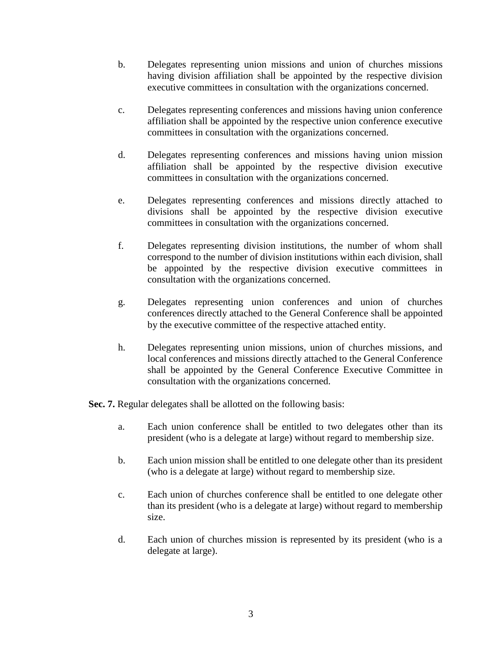- b. Delegates representing union missions and union of churches missions having division affiliation shall be appointed by the respective division executive committees in consultation with the organizations concerned.
- c. Delegates representing conferences and missions having union conference affiliation shall be appointed by the respective union conference executive committees in consultation with the organizations concerned.
- d. Delegates representing conferences and missions having union mission affiliation shall be appointed by the respective division executive committees in consultation with the organizations concerned.
- e. Delegates representing conferences and missions directly attached to divisions shall be appointed by the respective division executive committees in consultation with the organizations concerned.
- f. Delegates representing division institutions, the number of whom shall correspond to the number of division institutions within each division, shall be appointed by the respective division executive committees in consultation with the organizations concerned.
- g. Delegates representing union conferences and union of churches conferences directly attached to the General Conference shall be appointed by the executive committee of the respective attached entity.
- h. Delegates representing union missions, union of churches missions, and local conferences and missions directly attached to the General Conference shall be appointed by the General Conference Executive Committee in consultation with the organizations concerned.

**Sec. 7.** Regular delegates shall be allotted on the following basis:

- a. Each union conference shall be entitled to two delegates other than its president (who is a delegate at large) without regard to membership size.
- b. Each union mission shall be entitled to one delegate other than its president (who is a delegate at large) without regard to membership size.
- c. Each union of churches conference shall be entitled to one delegate other than its president (who is a delegate at large) without regard to membership size.
- d. Each union of churches mission is represented by its president (who is a delegate at large).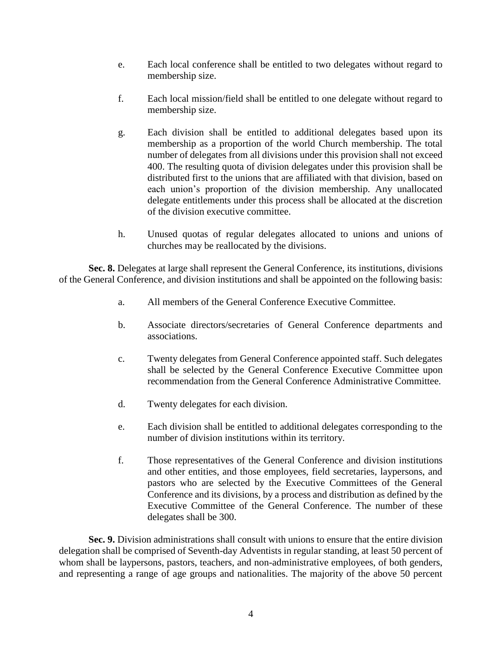- e. Each local conference shall be entitled to two delegates without regard to membership size.
- f. Each local mission/field shall be entitled to one delegate without regard to membership size.
- g. Each division shall be entitled to additional delegates based upon its membership as a proportion of the world Church membership. The total number of delegates from all divisions under this provision shall not exceed 400. The resulting quota of division delegates under this provision shall be distributed first to the unions that are affiliated with that division, based on each union's proportion of the division membership. Any unallocated delegate entitlements under this process shall be allocated at the discretion of the division executive committee.
- h. Unused quotas of regular delegates allocated to unions and unions of churches may be reallocated by the divisions.

**Sec. 8.** Delegates at large shall represent the General Conference, its institutions, divisions of the General Conference, and division institutions and shall be appointed on the following basis:

- a. All members of the General Conference Executive Committee.
- b. Associate directors/secretaries of General Conference departments and associations.
- c. Twenty delegates from General Conference appointed staff. Such delegates shall be selected by the General Conference Executive Committee upon recommendation from the General Conference Administrative Committee.
- d. Twenty delegates for each division.
- e. Each division shall be entitled to additional delegates corresponding to the number of division institutions within its territory.
- f. Those representatives of the General Conference and division institutions and other entities, and those employees, field secretaries, laypersons, and pastors who are selected by the Executive Committees of the General Conference and its divisions, by a process and distribution as defined by the Executive Committee of the General Conference. The number of these delegates shall be 300.

**Sec. 9.** Division administrations shall consult with unions to ensure that the entire division delegation shall be comprised of Seventh-day Adventists in regular standing, at least 50 percent of whom shall be laypersons, pastors, teachers, and non-administrative employees, of both genders, and representing a range of age groups and nationalities. The majority of the above 50 percent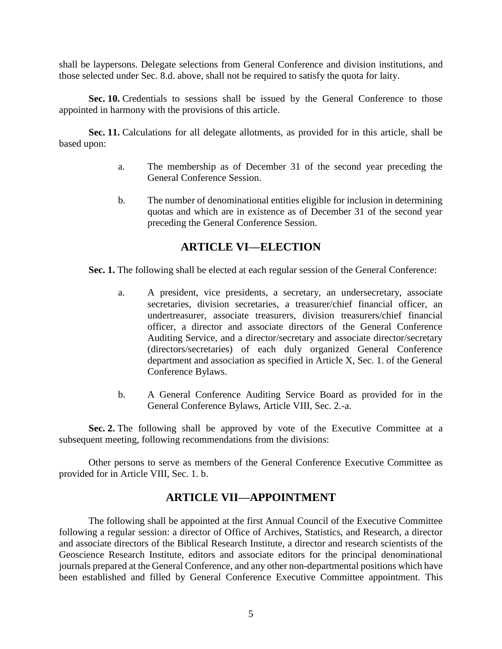shall be laypersons. Delegate selections from General Conference and division institutions, and those selected under Sec. 8.d. above, shall not be required to satisfy the quota for laity.

**Sec. 10.** Credentials to sessions shall be issued by the General Conference to those appointed in harmony with the provisions of this article.

**Sec. 11.** Calculations for all delegate allotments, as provided for in this article, shall be based upon:

- a. The membership as of December 31 of the second year preceding the General Conference Session.
- b. The number of denominational entities eligible for inclusion in determining quotas and which are in existence as of December 31 of the second year preceding the General Conference Session.

# **ARTICLE VI—ELECTION**

**Sec. 1.** The following shall be elected at each regular session of the General Conference:

- a. A president, vice presidents, a secretary, an undersecretary, associate secretaries, division secretaries, a treasurer/chief financial officer, an undertreasurer, associate treasurers, division treasurers/chief financial officer, a director and associate directors of the General Conference Auditing Service, and a director/secretary and associate director/secretary (directors/secretaries) of each duly organized General Conference department and association as specified in Article X, Sec. 1. of the General Conference Bylaws.
- b. A General Conference Auditing Service Board as provided for in the General Conference Bylaws, Article VIII, Sec. 2.-a.

**Sec. 2.** The following shall be approved by vote of the Executive Committee at a subsequent meeting, following recommendations from the divisions:

Other persons to serve as members of the General Conference Executive Committee as provided for in Article VIII, Sec. 1. b.

# **ARTICLE VII—APPOINTMENT**

The following shall be appointed at the first Annual Council of the Executive Committee following a regular session: a director of Office of Archives, Statistics, and Research, a director and associate directors of the Biblical Research Institute, a director and research scientists of the Geoscience Research Institute, editors and associate editors for the principal denominational journals prepared at the General Conference, and any other non-departmental positions which have been established and filled by General Conference Executive Committee appointment. This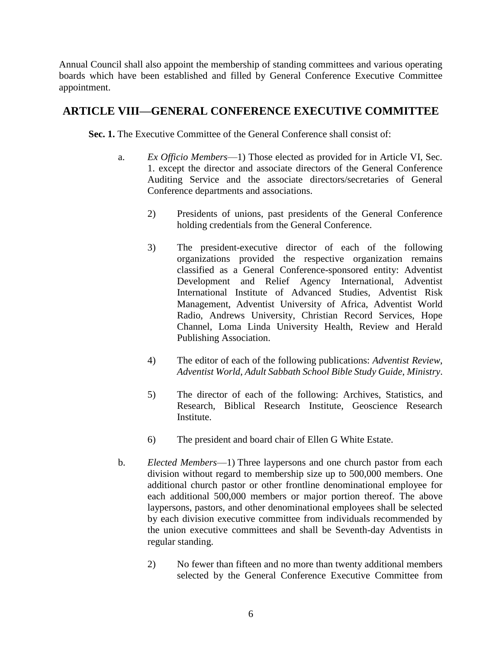Annual Council shall also appoint the membership of standing committees and various operating boards which have been established and filled by General Conference Executive Committee appointment.

## **ARTICLE VIII—GENERAL CONFERENCE EXECUTIVE COMMITTEE**

**Sec. 1.** The Executive Committee of the General Conference shall consist of:

- a. *Ex Officio Members*—1) Those elected as provided for in Article VI, Sec. 1. except the director and associate directors of the General Conference Auditing Service and the associate directors/secretaries of General Conference departments and associations.
	- 2) Presidents of unions, past presidents of the General Conference holding credentials from the General Conference.
	- 3) The president-executive director of each of the following organizations provided the respective organization remains classified as a General Conference-sponsored entity: Adventist Development and Relief Agency International, Adventist International Institute of Advanced Studies, Adventist Risk Management, Adventist University of Africa, Adventist World Radio, Andrews University, Christian Record Services, Hope Channel, Loma Linda University Health, Review and Herald Publishing Association.
	- 4) The editor of each of the following publications: *Adventist Review*, *Adventist World*, *Adult Sabbath School Bible Study Guide*, *Ministry*.
	- 5) The director of each of the following: Archives, Statistics, and Research, Biblical Research Institute, Geoscience Research Institute.
	- 6) The president and board chair of Ellen G White Estate.
- b. *Elected Members*—1) Three laypersons and one church pastor from each division without regard to membership size up to 500,000 members. One additional church pastor or other frontline denominational employee for each additional 500,000 members or major portion thereof. The above laypersons, pastors, and other denominational employees shall be selected by each division executive committee from individuals recommended by the union executive committees and shall be Seventh-day Adventists in regular standing.
	- 2) No fewer than fifteen and no more than twenty additional members selected by the General Conference Executive Committee from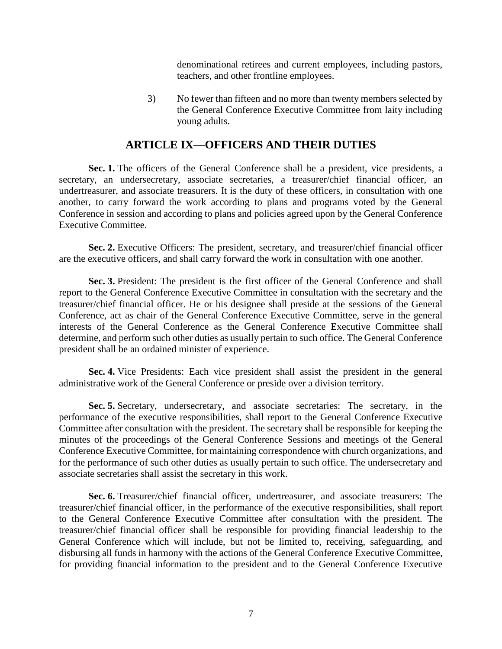denominational retirees and current employees, including pastors, teachers, and other frontline employees.

3) No fewer than fifteen and no more than twenty members selected by the General Conference Executive Committee from laity including young adults.

### **ARTICLE IX—OFFICERS AND THEIR DUTIES**

**Sec. 1.** The officers of the General Conference shall be a president, vice presidents, a secretary, an undersecretary, associate secretaries, a treasurer/chief financial officer, an undertreasurer, and associate treasurers. It is the duty of these officers, in consultation with one another, to carry forward the work according to plans and programs voted by the General Conference in session and according to plans and policies agreed upon by the General Conference Executive Committee.

**Sec. 2.** Executive Officers: The president, secretary, and treasurer/chief financial officer are the executive officers, and shall carry forward the work in consultation with one another.

**Sec. 3.** President: The president is the first officer of the General Conference and shall report to the General Conference Executive Committee in consultation with the secretary and the treasurer/chief financial officer. He or his designee shall preside at the sessions of the General Conference, act as chair of the General Conference Executive Committee, serve in the general interests of the General Conference as the General Conference Executive Committee shall determine, and perform such other duties as usually pertain to such office. The General Conference president shall be an ordained minister of experience.

**Sec. 4.** Vice Presidents: Each vice president shall assist the president in the general administrative work of the General Conference or preside over a division territory.

**Sec. 5.** Secretary, undersecretary, and associate secretaries: The secretary, in the performance of the executive responsibilities, shall report to the General Conference Executive Committee after consultation with the president. The secretary shall be responsible for keeping the minutes of the proceedings of the General Conference Sessions and meetings of the General Conference Executive Committee, for maintaining correspondence with church organizations, and for the performance of such other duties as usually pertain to such office. The undersecretary and associate secretaries shall assist the secretary in this work.

**Sec. 6.** Treasurer/chief financial officer, undertreasurer, and associate treasurers: The treasurer/chief financial officer, in the performance of the executive responsibilities, shall report to the General Conference Executive Committee after consultation with the president. The treasurer/chief financial officer shall be responsible for providing financial leadership to the General Conference which will include, but not be limited to, receiving, safeguarding, and disbursing all funds in harmony with the actions of the General Conference Executive Committee, for providing financial information to the president and to the General Conference Executive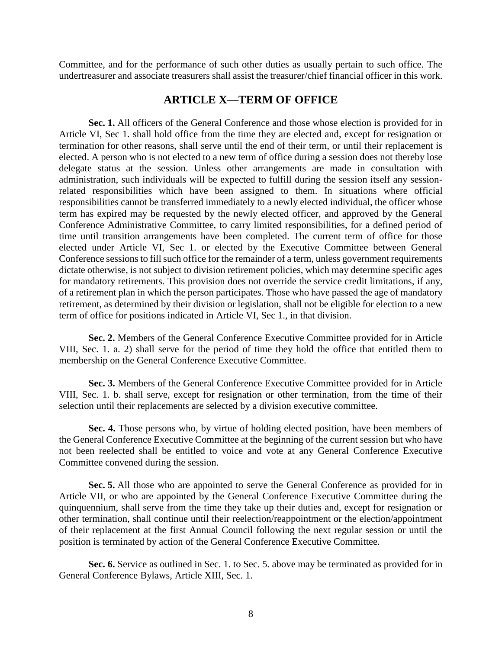Committee, and for the performance of such other duties as usually pertain to such office. The undertreasurer and associate treasurers shall assist the treasurer/chief financial officer in this work.

### **ARTICLE X—TERM OF OFFICE**

**Sec. 1.** All officers of the General Conference and those whose election is provided for in Article VI, Sec 1. shall hold office from the time they are elected and, except for resignation or termination for other reasons, shall serve until the end of their term, or until their replacement is elected. A person who is not elected to a new term of office during a session does not thereby lose delegate status at the session. Unless other arrangements are made in consultation with administration, such individuals will be expected to fulfill during the session itself any sessionrelated responsibilities which have been assigned to them. In situations where official responsibilities cannot be transferred immediately to a newly elected individual, the officer whose term has expired may be requested by the newly elected officer, and approved by the General Conference Administrative Committee, to carry limited responsibilities, for a defined period of time until transition arrangements have been completed. The current term of office for those elected under Article VI, Sec 1. or elected by the Executive Committee between General Conference sessions to fill such office for the remainder of a term, unless government requirements dictate otherwise, is not subject to division retirement policies, which may determine specific ages for mandatory retirements. This provision does not override the service credit limitations, if any, of a retirement plan in which the person participates. Those who have passed the age of mandatory retirement, as determined by their division or legislation, shall not be eligible for election to a new term of office for positions indicated in Article VI, Sec 1., in that division.

**Sec. 2.** Members of the General Conference Executive Committee provided for in Article VIII, Sec. 1. a. 2) shall serve for the period of time they hold the office that entitled them to membership on the General Conference Executive Committee.

**Sec. 3.** Members of the General Conference Executive Committee provided for in Article VIII, Sec. 1. b. shall serve, except for resignation or other termination, from the time of their selection until their replacements are selected by a division executive committee.

**Sec. 4.** Those persons who, by virtue of holding elected position, have been members of the General Conference Executive Committee at the beginning of the current session but who have not been reelected shall be entitled to voice and vote at any General Conference Executive Committee convened during the session.

**Sec. 5.** All those who are appointed to serve the General Conference as provided for in Article VII, or who are appointed by the General Conference Executive Committee during the quinquennium, shall serve from the time they take up their duties and, except for resignation or other termination, shall continue until their reelection/reappointment or the election/appointment of their replacement at the first Annual Council following the next regular session or until the position is terminated by action of the General Conference Executive Committee.

**Sec. 6.** Service as outlined in Sec. 1. to Sec. 5. above may be terminated as provided for in General Conference Bylaws, Article XIII, Sec. 1.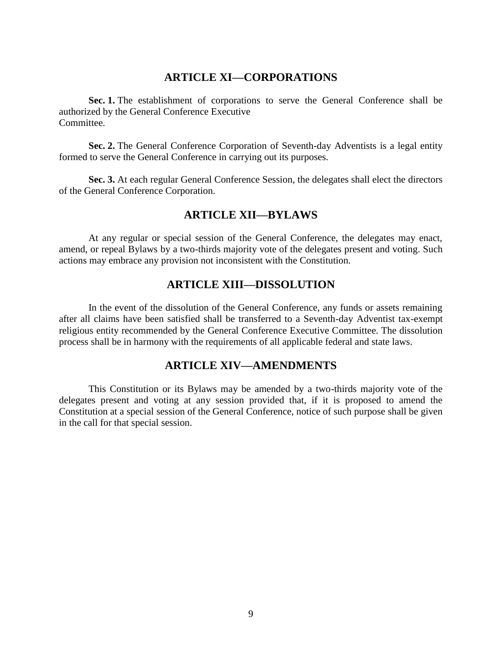#### **ARTICLE XI—CORPORATIONS**

**Sec. 1.** The establishment of corporations to serve the General Conference shall be authorized by the General Conference Executive Committee.

**Sec. 2.** The General Conference Corporation of Seventh-day Adventists is a legal entity formed to serve the General Conference in carrying out its purposes.

**Sec. 3.** At each regular General Conference Session, the delegates shall elect the directors of the General Conference Corporation.

## **ARTICLE XII—BYLAWS**

At any regular or special session of the General Conference, the delegates may enact, amend, or repeal Bylaws by a two-thirds majority vote of the delegates present and voting. Such actions may embrace any provision not inconsistent with the Constitution.

#### **ARTICLE XIII—DISSOLUTION**

In the event of the dissolution of the General Conference, any funds or assets remaining after all claims have been satisfied shall be transferred to a Seventh-day Adventist tax-exempt religious entity recommended by the General Conference Executive Committee. The dissolution process shall be in harmony with the requirements of all applicable federal and state laws.

#### **ARTICLE XIV—AMENDMENTS**

This Constitution or its Bylaws may be amended by a two-thirds majority vote of the delegates present and voting at any session provided that, if it is proposed to amend the Constitution at a special session of the General Conference, notice of such purpose shall be given in the call for that special session.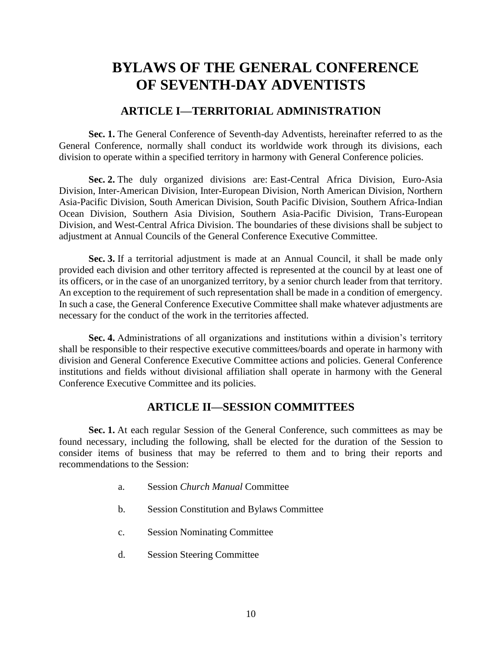# **BYLAWS OF THE GENERAL CONFERENCE OF SEVENTH-DAY ADVENTISTS**

#### **ARTICLE I—TERRITORIAL ADMINISTRATION**

**Sec. 1.** The General Conference of Seventh-day Adventists, hereinafter referred to as the General Conference, normally shall conduct its worldwide work through its divisions, each division to operate within a specified territory in harmony with General Conference policies.

**Sec. 2.** The duly organized divisions are: East-Central Africa Division, Euro-Asia Division, Inter-American Division, Inter-European Division, North American Division, Northern Asia-Pacific Division, South American Division, South Pacific Division, Southern Africa-Indian Ocean Division, Southern Asia Division, Southern Asia-Pacific Division, Trans-European Division, and West-Central Africa Division. The boundaries of these divisions shall be subject to adjustment at Annual Councils of the General Conference Executive Committee.

**Sec. 3.** If a territorial adjustment is made at an Annual Council, it shall be made only provided each division and other territory affected is represented at the council by at least one of its officers, or in the case of an unorganized territory, by a senior church leader from that territory. An exception to the requirement of such representation shall be made in a condition of emergency. In such a case, the General Conference Executive Committee shall make whatever adjustments are necessary for the conduct of the work in the territories affected.

**Sec. 4.** Administrations of all organizations and institutions within a division's territory shall be responsible to their respective executive committees/boards and operate in harmony with division and General Conference Executive Committee actions and policies. General Conference institutions and fields without divisional affiliation shall operate in harmony with the General Conference Executive Committee and its policies.

## **ARTICLE II—SESSION COMMITTEES**

**Sec. 1.** At each regular Session of the General Conference, such committees as may be found necessary, including the following, shall be elected for the duration of the Session to consider items of business that may be referred to them and to bring their reports and recommendations to the Session:

- a. Session *Church Manual* Committee
- b. Session Constitution and Bylaws Committee
- c. Session Nominating Committee
- d. Session Steering Committee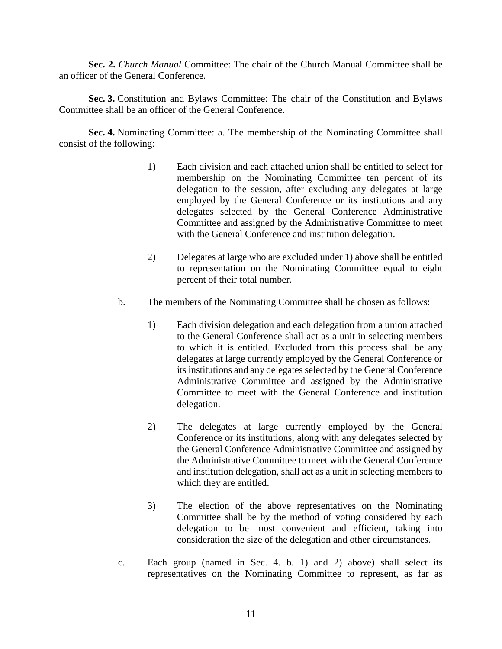**Sec. 2.** *Church Manual* Committee: The chair of the Church Manual Committee shall be an officer of the General Conference.

**Sec. 3.** Constitution and Bylaws Committee: The chair of the Constitution and Bylaws Committee shall be an officer of the General Conference.

**Sec. 4.** Nominating Committee: a. The membership of the Nominating Committee shall consist of the following:

- 1) Each division and each attached union shall be entitled to select for membership on the Nominating Committee ten percent of its delegation to the session, after excluding any delegates at large employed by the General Conference or its institutions and any delegates selected by the General Conference Administrative Committee and assigned by the Administrative Committee to meet with the General Conference and institution delegation.
- 2) Delegates at large who are excluded under 1) above shall be entitled to representation on the Nominating Committee equal to eight percent of their total number.
- b. The members of the Nominating Committee shall be chosen as follows:
	- 1) Each division delegation and each delegation from a union attached to the General Conference shall act as a unit in selecting members to which it is entitled. Excluded from this process shall be any delegates at large currently employed by the General Conference or its institutions and any delegates selected by the General Conference Administrative Committee and assigned by the Administrative Committee to meet with the General Conference and institution delegation.
	- 2) The delegates at large currently employed by the General Conference or its institutions, along with any delegates selected by the General Conference Administrative Committee and assigned by the Administrative Committee to meet with the General Conference and institution delegation, shall act as a unit in selecting members to which they are entitled.
	- 3) The election of the above representatives on the Nominating Committee shall be by the method of voting considered by each delegation to be most convenient and efficient, taking into consideration the size of the delegation and other circumstances.
- c. Each group (named in Sec. 4. b. 1) and 2) above) shall select its representatives on the Nominating Committee to represent, as far as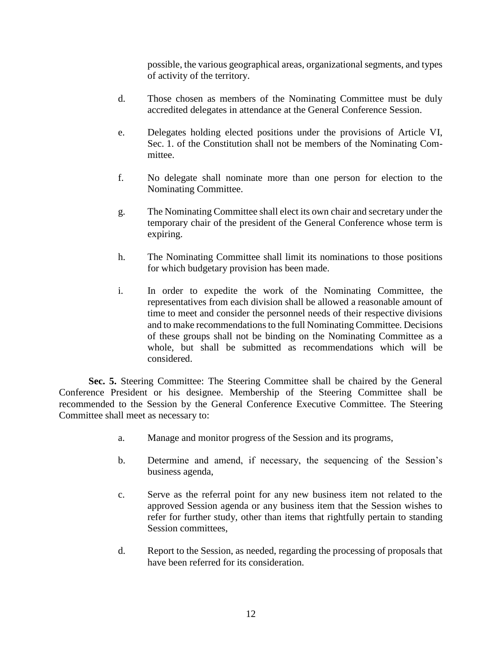possible, the various geographical areas, organizational segments, and types of activity of the territory.

- d. Those chosen as members of the Nominating Committee must be duly accredited delegates in attendance at the General Conference Session.
- e. Delegates holding elected positions under the provisions of Article VI, Sec. 1. of the Constitution shall not be members of the Nominating Committee.
- f. No delegate shall nominate more than one person for election to the Nominating Committee.
- g. The Nominating Committee shall elect its own chair and secretary under the temporary chair of the president of the General Conference whose term is expiring.
- h. The Nominating Committee shall limit its nominations to those positions for which budgetary provision has been made.
- i. In order to expedite the work of the Nominating Committee, the representatives from each division shall be allowed a reasonable amount of time to meet and consider the personnel needs of their respective divisions and to make recommendations to the full Nominating Committee. Decisions of these groups shall not be binding on the Nominating Committee as a whole, but shall be submitted as recommendations which will be considered.

**Sec. 5.** Steering Committee: The Steering Committee shall be chaired by the General Conference President or his designee. Membership of the Steering Committee shall be recommended to the Session by the General Conference Executive Committee. The Steering Committee shall meet as necessary to:

- a. Manage and monitor progress of the Session and its programs,
- b. Determine and amend, if necessary, the sequencing of the Session's business agenda,
- c. Serve as the referral point for any new business item not related to the approved Session agenda or any business item that the Session wishes to refer for further study, other than items that rightfully pertain to standing Session committees,
- d. Report to the Session, as needed, regarding the processing of proposals that have been referred for its consideration.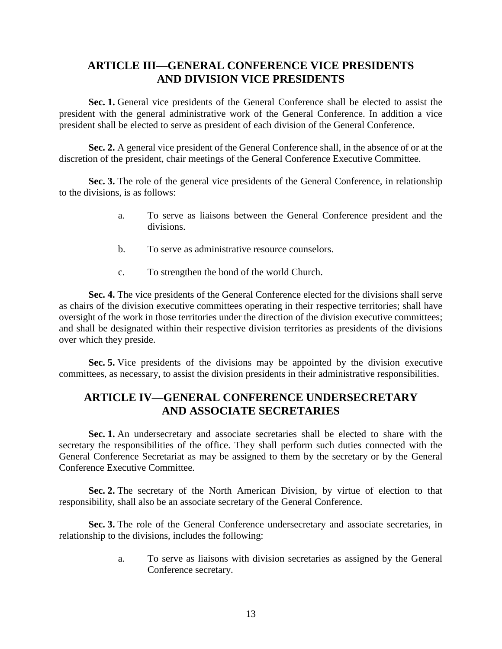## **ARTICLE III—GENERAL CONFERENCE VICE PRESIDENTS AND DIVISION VICE PRESIDENTS**

**Sec. 1.** General vice presidents of the General Conference shall be elected to assist the president with the general administrative work of the General Conference. In addition a vice president shall be elected to serve as president of each division of the General Conference.

**Sec. 2.** A general vice president of the General Conference shall, in the absence of or at the discretion of the president, chair meetings of the General Conference Executive Committee.

**Sec. 3.** The role of the general vice presidents of the General Conference, in relationship to the divisions, is as follows:

- a. To serve as liaisons between the General Conference president and the divisions.
- b. To serve as administrative resource counselors.
- c. To strengthen the bond of the world Church.

**Sec. 4.** The vice presidents of the General Conference elected for the divisions shall serve as chairs of the division executive committees operating in their respective territories; shall have oversight of the work in those territories under the direction of the division executive committees; and shall be designated within their respective division territories as presidents of the divisions over which they preside.

**Sec. 5.** Vice presidents of the divisions may be appointed by the division executive committees, as necessary, to assist the division presidents in their administrative responsibilities.

## **ARTICLE IV—GENERAL CONFERENCE UNDERSECRETARY AND ASSOCIATE SECRETARIES**

**Sec. 1.** An undersecretary and associate secretaries shall be elected to share with the secretary the responsibilities of the office. They shall perform such duties connected with the General Conference Secretariat as may be assigned to them by the secretary or by the General Conference Executive Committee.

**Sec. 2.** The secretary of the North American Division, by virtue of election to that responsibility, shall also be an associate secretary of the General Conference.

**Sec. 3.** The role of the General Conference undersecretary and associate secretaries, in relationship to the divisions, includes the following:

> a. To serve as liaisons with division secretaries as assigned by the General Conference secretary.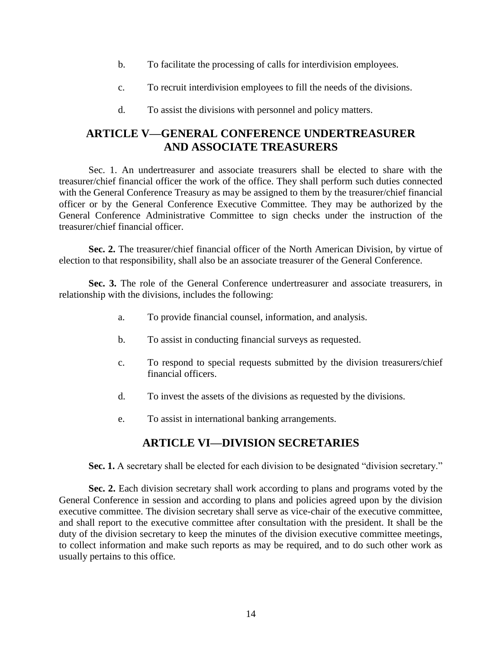- b. To facilitate the processing of calls for interdivision employees.
- c. To recruit interdivision employees to fill the needs of the divisions.
- d. To assist the divisions with personnel and policy matters.

# **ARTICLE V—GENERAL CONFERENCE UNDERTREASURER AND ASSOCIATE TREASURERS**

Sec. 1. An undertreasurer and associate treasurers shall be elected to share with the treasurer/chief financial officer the work of the office. They shall perform such duties connected with the General Conference Treasury as may be assigned to them by the treasurer/chief financial officer or by the General Conference Executive Committee. They may be authorized by the General Conference Administrative Committee to sign checks under the instruction of the treasurer/chief financial officer.

**Sec. 2.** The treasurer/chief financial officer of the North American Division, by virtue of election to that responsibility, shall also be an associate treasurer of the General Conference.

**Sec. 3.** The role of the General Conference undertreasurer and associate treasurers, in relationship with the divisions, includes the following:

- a. To provide financial counsel, information, and analysis.
- b. To assist in conducting financial surveys as requested.
- c. To respond to special requests submitted by the division treasurers/chief financial officers.
- d. To invest the assets of the divisions as requested by the divisions.
- e. To assist in international banking arrangements.

# **ARTICLE VI—DIVISION SECRETARIES**

**Sec. 1.** A secretary shall be elected for each division to be designated "division secretary."

**Sec. 2.** Each division secretary shall work according to plans and programs voted by the General Conference in session and according to plans and policies agreed upon by the division executive committee. The division secretary shall serve as vice-chair of the executive committee, and shall report to the executive committee after consultation with the president. It shall be the duty of the division secretary to keep the minutes of the division executive committee meetings, to collect information and make such reports as may be required, and to do such other work as usually pertains to this office.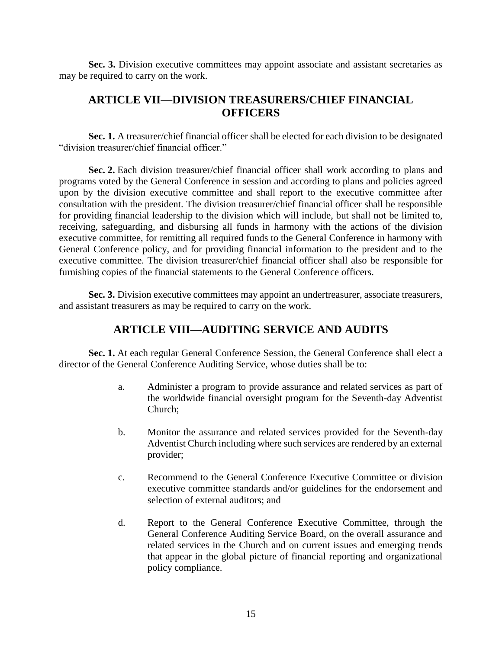Sec. 3. Division executive committees may appoint associate and assistant secretaries as may be required to carry on the work.

## **ARTICLE VII—DIVISION TREASURERS/CHIEF FINANCIAL OFFICERS**

**Sec. 1.** A treasurer/chief financial officer shall be elected for each division to be designated "division treasurer/chief financial officer."

**Sec. 2.** Each division treasurer/chief financial officer shall work according to plans and programs voted by the General Conference in session and according to plans and policies agreed upon by the division executive committee and shall report to the executive committee after consultation with the president. The division treasurer/chief financial officer shall be responsible for providing financial leadership to the division which will include, but shall not be limited to, receiving, safeguarding, and disbursing all funds in harmony with the actions of the division executive committee, for remitting all required funds to the General Conference in harmony with General Conference policy, and for providing financial information to the president and to the executive committee. The division treasurer/chief financial officer shall also be responsible for furnishing copies of the financial statements to the General Conference officers.

**Sec. 3.** Division executive committees may appoint an undertreasurer, associate treasurers, and assistant treasurers as may be required to carry on the work.

# **ARTICLE VIII—AUDITING SERVICE AND AUDITS**

**Sec. 1.** At each regular General Conference Session, the General Conference shall elect a director of the General Conference Auditing Service, whose duties shall be to:

- a. Administer a program to provide assurance and related services as part of the worldwide financial oversight program for the Seventh-day Adventist Church;
- b. Monitor the assurance and related services provided for the Seventh-day Adventist Church including where such services are rendered by an external provider;
- c. Recommend to the General Conference Executive Committee or division executive committee standards and/or guidelines for the endorsement and selection of external auditors; and
- d. Report to the General Conference Executive Committee, through the General Conference Auditing Service Board, on the overall assurance and related services in the Church and on current issues and emerging trends that appear in the global picture of financial reporting and organizational policy compliance.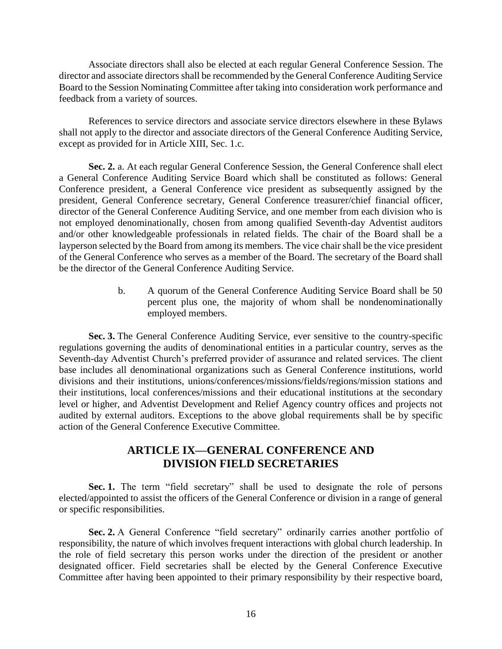Associate directors shall also be elected at each regular General Conference Session. The director and associate directors shall be recommended by the General Conference Auditing Service Board to the Session Nominating Committee after taking into consideration work performance and feedback from a variety of sources.

References to service directors and associate service directors elsewhere in these Bylaws shall not apply to the director and associate directors of the General Conference Auditing Service, except as provided for in Article XIII, Sec. 1.c.

**Sec. 2.** a. At each regular General Conference Session, the General Conference shall elect a General Conference Auditing Service Board which shall be constituted as follows: General Conference president, a General Conference vice president as subsequently assigned by the president, General Conference secretary, General Conference treasurer/chief financial officer, director of the General Conference Auditing Service, and one member from each division who is not employed denominationally, chosen from among qualified Seventh-day Adventist auditors and/or other knowledgeable professionals in related fields. The chair of the Board shall be a layperson selected by the Board from among its members. The vice chair shall be the vice president of the General Conference who serves as a member of the Board. The secretary of the Board shall be the director of the General Conference Auditing Service.

> b. A quorum of the General Conference Auditing Service Board shall be 50 percent plus one, the majority of whom shall be nondenominationally employed members.

**Sec. 3.** The General Conference Auditing Service, ever sensitive to the country-specific regulations governing the audits of denominational entities in a particular country, serves as the Seventh-day Adventist Church's preferred provider of assurance and related services. The client base includes all denominational organizations such as General Conference institutions, world divisions and their institutions, unions/conferences/missions/fields/regions/mission stations and their institutions, local conferences/missions and their educational institutions at the secondary level or higher, and Adventist Development and Relief Agency country offices and projects not audited by external auditors. Exceptions to the above global requirements shall be by specific action of the General Conference Executive Committee.

## **ARTICLE IX—GENERAL CONFERENCE AND DIVISION FIELD SECRETARIES**

**Sec. 1.** The term "field secretary" shall be used to designate the role of persons elected/appointed to assist the officers of the General Conference or division in a range of general or specific responsibilities.

**Sec. 2.** A General Conference "field secretary" ordinarily carries another portfolio of responsibility, the nature of which involves frequent interactions with global church leadership. In the role of field secretary this person works under the direction of the president or another designated officer. Field secretaries shall be elected by the General Conference Executive Committee after having been appointed to their primary responsibility by their respective board,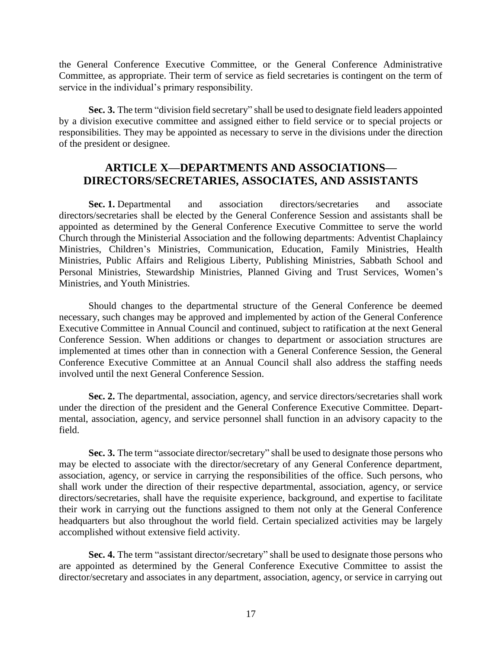the General Conference Executive Committee, or the General Conference Administrative Committee, as appropriate. Their term of service as field secretaries is contingent on the term of service in the individual's primary responsibility.

**Sec. 3.** The term "division field secretary" shall be used to designate field leaders appointed by a division executive committee and assigned either to field service or to special projects or responsibilities. They may be appointed as necessary to serve in the divisions under the direction of the president or designee.

## **ARTICLE X—DEPARTMENTS AND ASSOCIATIONS— DIRECTORS/SECRETARIES, ASSOCIATES, AND ASSISTANTS**

**Sec. 1.** Departmental and association directors/secretaries and associate directors/secretaries shall be elected by the General Conference Session and assistants shall be appointed as determined by the General Conference Executive Committee to serve the world Church through the Ministerial Association and the following departments: Adventist Chaplaincy Ministries, Children's Ministries, Communication, Education, Family Ministries, Health Ministries, Public Affairs and Religious Liberty, Publishing Ministries, Sabbath School and Personal Ministries, Stewardship Ministries, Planned Giving and Trust Services, Women's Ministries, and Youth Ministries.

Should changes to the departmental structure of the General Conference be deemed necessary, such changes may be approved and implemented by action of the General Conference Executive Committee in Annual Council and continued, subject to ratification at the next General Conference Session. When additions or changes to department or association structures are implemented at times other than in connection with a General Conference Session, the General Conference Executive Committee at an Annual Council shall also address the staffing needs involved until the next General Conference Session.

**Sec. 2.** The departmental, association, agency, and service directors/secretaries shall work under the direction of the president and the General Conference Executive Committee. Departmental, association, agency, and service personnel shall function in an advisory capacity to the field.

**Sec. 3.** The term "associate director/secretary" shall be used to designate those persons who may be elected to associate with the director/secretary of any General Conference department, association, agency, or service in carrying the responsibilities of the office. Such persons, who shall work under the direction of their respective departmental, association, agency, or service directors/secretaries, shall have the requisite experience, background, and expertise to facilitate their work in carrying out the functions assigned to them not only at the General Conference headquarters but also throughout the world field. Certain specialized activities may be largely accomplished without extensive field activity.

**Sec. 4.** The term "assistant director/secretary" shall be used to designate those persons who are appointed as determined by the General Conference Executive Committee to assist the director/secretary and associates in any department, association, agency, or service in carrying out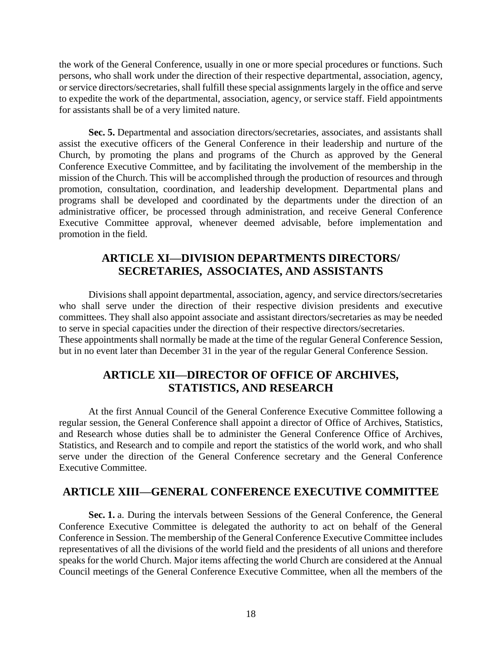the work of the General Conference, usually in one or more special procedures or functions. Such persons, who shall work under the direction of their respective departmental, association, agency, or service directors/secretaries, shall fulfill these special assignments largely in the office and serve to expedite the work of the departmental, association, agency, or service staff. Field appointments for assistants shall be of a very limited nature.

**Sec. 5.** Departmental and association directors/secretaries, associates, and assistants shall assist the executive officers of the General Conference in their leadership and nurture of the Church, by promoting the plans and programs of the Church as approved by the General Conference Executive Committee, and by facilitating the involvement of the membership in the mission of the Church. This will be accomplished through the production of resources and through promotion, consultation, coordination, and leadership development. Departmental plans and programs shall be developed and coordinated by the departments under the direction of an administrative officer, be processed through administration, and receive General Conference Executive Committee approval, whenever deemed advisable, before implementation and promotion in the field.

# **ARTICLE XI—DIVISION DEPARTMENTS DIRECTORS/ SECRETARIES, ASSOCIATES, AND ASSISTANTS**

Divisions shall appoint departmental, association, agency, and service directors/secretaries who shall serve under the direction of their respective division presidents and executive committees. They shall also appoint associate and assistant directors/secretaries as may be needed to serve in special capacities under the direction of their respective directors/secretaries. These appointments shall normally be made at the time of the regular General Conference Session, but in no event later than December 31 in the year of the regular General Conference Session.

# **ARTICLE XII—DIRECTOR OF OFFICE OF ARCHIVES, STATISTICS, AND RESEARCH**

At the first Annual Council of the General Conference Executive Committee following a regular session, the General Conference shall appoint a director of Office of Archives, Statistics, and Research whose duties shall be to administer the General Conference Office of Archives, Statistics, and Research and to compile and report the statistics of the world work, and who shall serve under the direction of the General Conference secretary and the General Conference Executive Committee.

## **ARTICLE XIII—GENERAL CONFERENCE EXECUTIVE COMMITTEE**

**Sec. 1.** a. During the intervals between Sessions of the General Conference, the General Conference Executive Committee is delegated the authority to act on behalf of the General Conference in Session. The membership of the General Conference Executive Committee includes representatives of all the divisions of the world field and the presidents of all unions and therefore speaks for the world Church. Major items affecting the world Church are considered at the Annual Council meetings of the General Conference Executive Committee, when all the members of the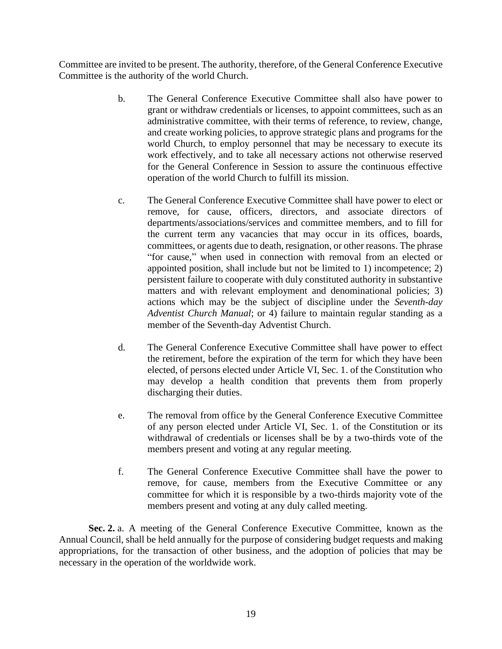Committee are invited to be present. The authority, therefore, of the General Conference Executive Committee is the authority of the world Church.

- b. The General Conference Executive Committee shall also have power to grant or withdraw credentials or licenses, to appoint committees, such as an administrative committee, with their terms of reference, to review, change, and create working policies, to approve strategic plans and programs for the world Church, to employ personnel that may be necessary to execute its work effectively, and to take all necessary actions not otherwise reserved for the General Conference in Session to assure the continuous effective operation of the world Church to fulfill its mission.
- c. The General Conference Executive Committee shall have power to elect or remove, for cause, officers, directors, and associate directors of departments/associations/services and committee members, and to fill for the current term any vacancies that may occur in its offices, boards, committees, or agents due to death, resignation, or other reasons. The phrase "for cause," when used in connection with removal from an elected or appointed position, shall include but not be limited to 1) incompetence; 2) persistent failure to cooperate with duly constituted authority in substantive matters and with relevant employment and denominational policies; 3) actions which may be the subject of discipline under the *Seventh-day Adventist Church Manual*; or 4) failure to maintain regular standing as a member of the Seventh-day Adventist Church.
- d. The General Conference Executive Committee shall have power to effect the retirement, before the expiration of the term for which they have been elected, of persons elected under Article VI, Sec. 1. of the Constitution who may develop a health condition that prevents them from properly discharging their duties.
- e. The removal from office by the General Conference Executive Committee of any person elected under Article VI, Sec. 1. of the Constitution or its withdrawal of credentials or licenses shall be by a two-thirds vote of the members present and voting at any regular meeting.
- f. The General Conference Executive Committee shall have the power to remove, for cause, members from the Executive Committee or any committee for which it is responsible by a two-thirds majority vote of the members present and voting at any duly called meeting.

**Sec. 2.** a. A meeting of the General Conference Executive Committee, known as the Annual Council, shall be held annually for the purpose of considering budget requests and making appropriations, for the transaction of other business, and the adoption of policies that may be necessary in the operation of the worldwide work.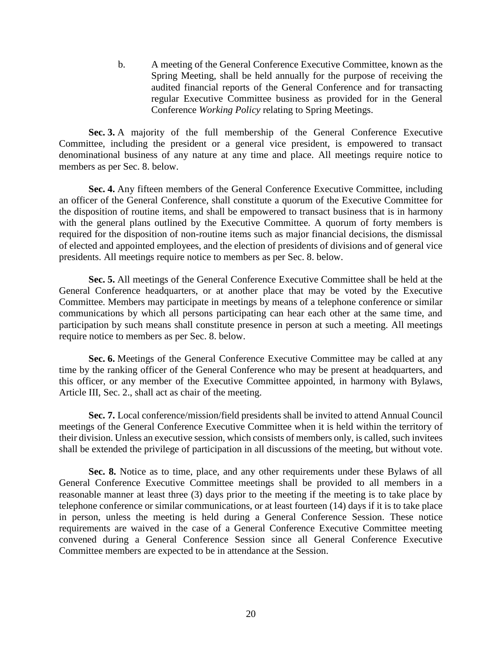b. A meeting of the General Conference Executive Committee, known as the Spring Meeting, shall be held annually for the purpose of receiving the audited financial reports of the General Conference and for transacting regular Executive Committee business as provided for in the General Conference *Working Policy* relating to Spring Meetings.

**Sec. 3.** A majority of the full membership of the General Conference Executive Committee, including the president or a general vice president, is empowered to transact denominational business of any nature at any time and place. All meetings require notice to members as per Sec. 8. below.

**Sec. 4.** Any fifteen members of the General Conference Executive Committee, including an officer of the General Conference, shall constitute a quorum of the Executive Committee for the disposition of routine items, and shall be empowered to transact business that is in harmony with the general plans outlined by the Executive Committee. A quorum of forty members is required for the disposition of non-routine items such as major financial decisions, the dismissal of elected and appointed employees, and the election of presidents of divisions and of general vice presidents. All meetings require notice to members as per Sec. 8. below.

**Sec. 5.** All meetings of the General Conference Executive Committee shall be held at the General Conference headquarters, or at another place that may be voted by the Executive Committee. Members may participate in meetings by means of a telephone conference or similar communications by which all persons participating can hear each other at the same time, and participation by such means shall constitute presence in person at such a meeting. All meetings require notice to members as per Sec. 8. below.

**Sec. 6.** Meetings of the General Conference Executive Committee may be called at any time by the ranking officer of the General Conference who may be present at headquarters, and this officer, or any member of the Executive Committee appointed, in harmony with Bylaws, Article III, Sec. 2., shall act as chair of the meeting.

**Sec. 7.** Local conference/mission/field presidents shall be invited to attend Annual Council meetings of the General Conference Executive Committee when it is held within the territory of their division. Unless an executive session, which consists of members only, is called, such invitees shall be extended the privilege of participation in all discussions of the meeting, but without vote.

**Sec. 8.** Notice as to time, place, and any other requirements under these Bylaws of all General Conference Executive Committee meetings shall be provided to all members in a reasonable manner at least three (3) days prior to the meeting if the meeting is to take place by telephone conference or similar communications, or at least fourteen (14) days if it is to take place in person, unless the meeting is held during a General Conference Session. These notice requirements are waived in the case of a General Conference Executive Committee meeting convened during a General Conference Session since all General Conference Executive Committee members are expected to be in attendance at the Session.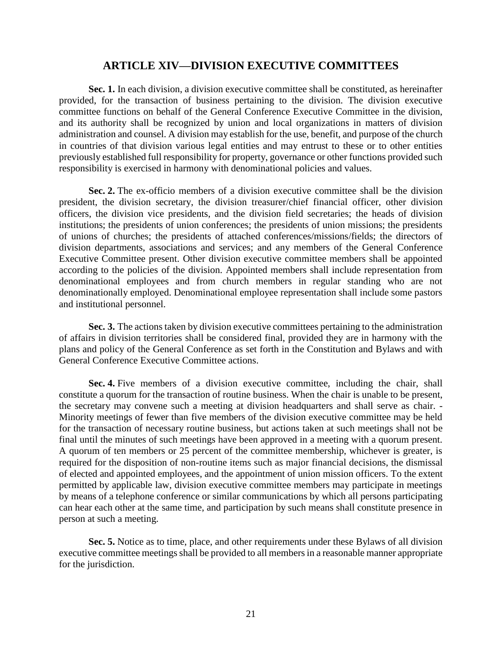#### **ARTICLE XIV—DIVISION EXECUTIVE COMMITTEES**

**Sec. 1.** In each division, a division executive committee shall be constituted, as hereinafter provided, for the transaction of business pertaining to the division. The division executive committee functions on behalf of the General Conference Executive Committee in the division, and its authority shall be recognized by union and local organizations in matters of division administration and counsel. A division may establish for the use, benefit, and purpose of the church in countries of that division various legal entities and may entrust to these or to other entities previously established full responsibility for property, governance or other functions provided such responsibility is exercised in harmony with denominational policies and values.

**Sec. 2.** The ex-officio members of a division executive committee shall be the division president, the division secretary, the division treasurer/chief financial officer, other division officers, the division vice presidents, and the division field secretaries; the heads of division institutions; the presidents of union conferences; the presidents of union missions; the presidents of unions of churches; the presidents of attached conferences/missions/fields; the directors of division departments, associations and services; and any members of the General Conference Executive Committee present. Other division executive committee members shall be appointed according to the policies of the division. Appointed members shall include representation from denominational employees and from church members in regular standing who are not denominationally employed. Denominational employee representation shall include some pastors and institutional personnel.

**Sec. 3.** The actions taken by division executive committees pertaining to the administration of affairs in division territories shall be considered final, provided they are in harmony with the plans and policy of the General Conference as set forth in the Constitution and Bylaws and with General Conference Executive Committee actions.

**Sec. 4.** Five members of a division executive committee, including the chair, shall constitute a quorum for the transaction of routine business. When the chair is unable to be present, the secretary may convene such a meeting at division headquarters and shall serve as chair. - Minority meetings of fewer than five members of the division executive committee may be held for the transaction of necessary routine business, but actions taken at such meetings shall not be final until the minutes of such meetings have been approved in a meeting with a quorum present. A quorum of ten members or 25 percent of the committee membership, whichever is greater, is required for the disposition of non-routine items such as major financial decisions, the dismissal of elected and appointed employees, and the appointment of union mission officers. To the extent permitted by applicable law, division executive committee members may participate in meetings by means of a telephone conference or similar communications by which all persons participating can hear each other at the same time, and participation by such means shall constitute presence in person at such a meeting.

**Sec. 5.** Notice as to time, place, and other requirements under these Bylaws of all division executive committee meetings shall be provided to all members in a reasonable manner appropriate for the jurisdiction.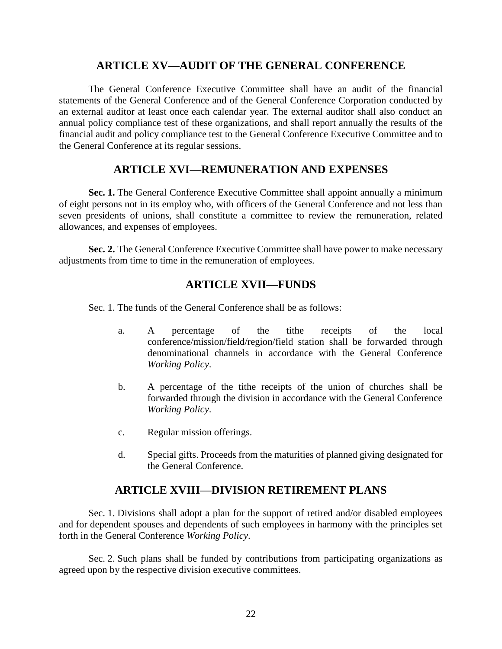## **ARTICLE XV—AUDIT OF THE GENERAL CONFERENCE**

The General Conference Executive Committee shall have an audit of the financial statements of the General Conference and of the General Conference Corporation conducted by an external auditor at least once each calendar year. The external auditor shall also conduct an annual policy compliance test of these organizations, and shall report annually the results of the financial audit and policy compliance test to the General Conference Executive Committee and to the General Conference at its regular sessions.

## **ARTICLE XVI—REMUNERATION AND EXPENSES**

**Sec. 1.** The General Conference Executive Committee shall appoint annually a minimum of eight persons not in its employ who, with officers of the General Conference and not less than seven presidents of unions, shall constitute a committee to review the remuneration, related allowances, and expenses of employees.

**Sec. 2.** The General Conference Executive Committee shall have power to make necessary adjustments from time to time in the remuneration of employees.

## **ARTICLE XVII—FUNDS**

Sec. 1. The funds of the General Conference shall be as follows:

- a. A percentage of the tithe receipts of the local conference/mission/field/region/field station shall be forwarded through denominational channels in accordance with the General Conference *Working Policy*.
- b. A percentage of the tithe receipts of the union of churches shall be forwarded through the division in accordance with the General Conference *Working Policy*.
- c. Regular mission offerings.
- d. Special gifts. Proceeds from the maturities of planned giving designated for the General Conference.

## **ARTICLE XVIII—DIVISION RETIREMENT PLANS**

Sec. 1. Divisions shall adopt a plan for the support of retired and/or disabled employees and for dependent spouses and dependents of such employees in harmony with the principles set forth in the General Conference *Working Policy*.

Sec. 2. Such plans shall be funded by contributions from participating organizations as agreed upon by the respective division executive committees.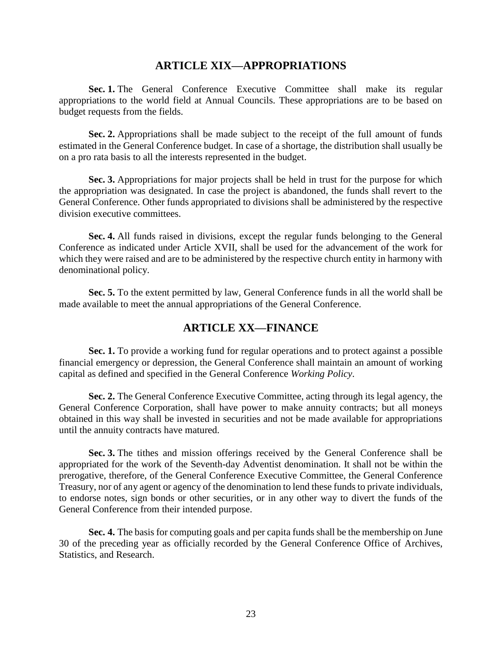#### **ARTICLE XIX—APPROPRIATIONS**

Sec. 1. The General Conference Executive Committee shall make its regular appropriations to the world field at Annual Councils. These appropriations are to be based on budget requests from the fields.

**Sec. 2.** Appropriations shall be made subject to the receipt of the full amount of funds estimated in the General Conference budget. In case of a shortage, the distribution shall usually be on a pro rata basis to all the interests represented in the budget.

**Sec. 3.** Appropriations for major projects shall be held in trust for the purpose for which the appropriation was designated. In case the project is abandoned, the funds shall revert to the General Conference. Other funds appropriated to divisions shall be administered by the respective division executive committees.

**Sec. 4.** All funds raised in divisions, except the regular funds belonging to the General Conference as indicated under Article XVII, shall be used for the advancement of the work for which they were raised and are to be administered by the respective church entity in harmony with denominational policy.

**Sec. 5.** To the extent permitted by law, General Conference funds in all the world shall be made available to meet the annual appropriations of the General Conference.

## **ARTICLE XX—FINANCE**

**Sec. 1.** To provide a working fund for regular operations and to protect against a possible financial emergency or depression, the General Conference shall maintain an amount of working capital as defined and specified in the General Conference *Working Policy*.

**Sec. 2.** The General Conference Executive Committee, acting through its legal agency, the General Conference Corporation, shall have power to make annuity contracts; but all moneys obtained in this way shall be invested in securities and not be made available for appropriations until the annuity contracts have matured.

**Sec. 3.** The tithes and mission offerings received by the General Conference shall be appropriated for the work of the Seventh-day Adventist denomination. It shall not be within the prerogative, therefore, of the General Conference Executive Committee, the General Conference Treasury, nor of any agent or agency of the denomination to lend these funds to private individuals, to endorse notes, sign bonds or other securities, or in any other way to divert the funds of the General Conference from their intended purpose.

**Sec. 4.** The basis for computing goals and per capita funds shall be the membership on June 30 of the preceding year as officially recorded by the General Conference Office of Archives, Statistics, and Research.